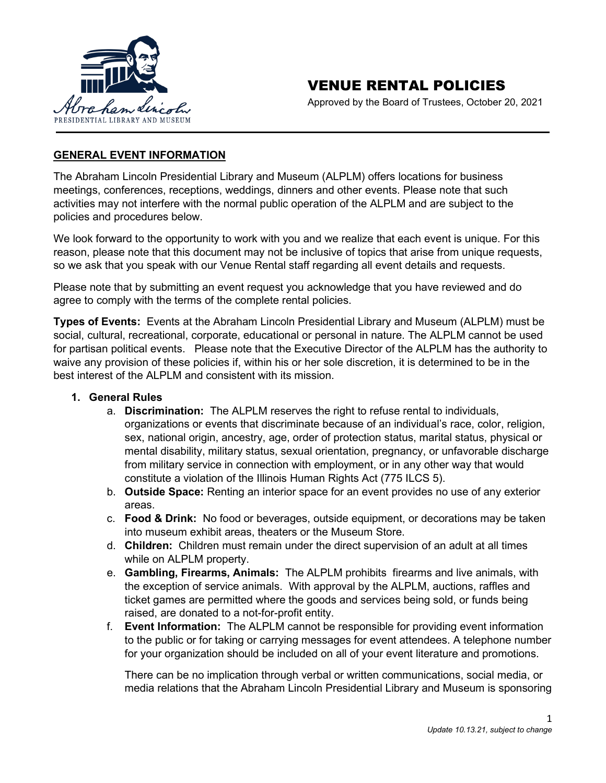

Approved by the Board of Trustees, October 20, 2021

## **GENERAL EVENT INFORMATION**

The Abraham Lincoln Presidential Library and Museum (ALPLM) offers locations for business meetings, conferences, receptions, weddings, dinners and other events. Please note that such activities may not interfere with the normal public operation of the ALPLM and are subject to the policies and procedures below.

We look forward to the opportunity to work with you and we realize that each event is unique. For this reason, please note that this document may not be inclusive of topics that arise from unique requests, so we ask that you speak with our Venue Rental staff regarding all event details and requests.

Please note that by submitting an event request you acknowledge that you have reviewed and do agree to comply with the terms of the complete rental policies.

**Types of Events:** Events at the Abraham Lincoln Presidential Library and Museum (ALPLM) must be social, cultural, recreational, corporate, educational or personal in nature. The ALPLM cannot be used for partisan political events. Please note that the Executive Director of the ALPLM has the authority to waive any provision of these policies if, within his or her sole discretion, it is determined to be in the best interest of the ALPLM and consistent with its mission.

#### **1. General Rules**

- a. **Discrimination:** The ALPLM reserves the right to refuse rental to individuals, organizations or events that discriminate because of an individual's race, color, religion, sex, national origin, ancestry, age, order of protection status, marital status, physical or mental disability, military status, sexual orientation, pregnancy, or unfavorable discharge from military service in connection with employment, or in any other way that would constitute a violation of the Illinois Human Rights Act (775 ILCS 5).
- b. **Outside Space:** Renting an interior space for an event provides no use of any exterior areas.
- c. **Food & Drink:** No food or beverages, outside equipment, or decorations may be taken into museum exhibit areas, theaters or the Museum Store.
- d. **Children:** Children must remain under the direct supervision of an adult at all times while on ALPLM property.
- e. **Gambling, Firearms, Animals:** The ALPLM prohibits firearms and live animals, with the exception of service animals. With approval by the ALPLM, auctions, raffles and ticket games are permitted where the goods and services being sold, or funds being raised, are donated to a not-for-profit entity.
- f. **Event Information:** The ALPLM cannot be responsible for providing event information to the public or for taking or carrying messages for event attendees. A telephone number for your organization should be included on all of your event literature and promotions.

There can be no implication through verbal or written communications, social media, or media relations that the Abraham Lincoln Presidential Library and Museum is sponsoring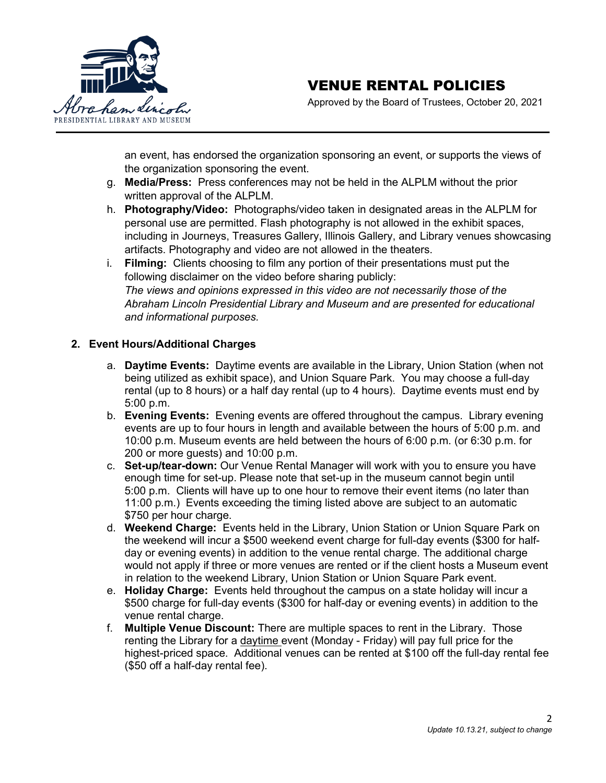

Approved by the Board of Trustees, October 20, 2021

an event, has endorsed the organization sponsoring an event, or supports the views of the organization sponsoring the event.

- g. **Media/Press:** Press conferences may not be held in the ALPLM without the prior written approval of the ALPLM.
- h. **Photography/Video:** Photographs/video taken in designated areas in the ALPLM for personal use are permitted. Flash photography is not allowed in the exhibit spaces, including in Journeys, Treasures Gallery, Illinois Gallery, and Library venues showcasing artifacts. Photography and video are not allowed in the theaters.
- i. **Filming:** Clients choosing to film any portion of their presentations must put the following disclaimer on the video before sharing publicly: *The views and opinions expressed in this video are not necessarily those of the Abraham Lincoln Presidential Library and Museum and are presented for educational and informational purposes.*

#### **2. Event Hours/Additional Charges**

- a. **Daytime Events:** Daytime events are available in the Library, Union Station (when not being utilized as exhibit space), and Union Square Park. You may choose a full-day rental (up to 8 hours) or a half day rental (up to 4 hours). Daytime events must end by 5:00 p.m.
- b. **Evening Events:** Evening events are offered throughout the campus. Library evening events are up to four hours in length and available between the hours of 5:00 p.m. and 10:00 p.m. Museum events are held between the hours of 6:00 p.m. (or 6:30 p.m. for 200 or more guests) and 10:00 p.m.
- c. **Set-up/tear-down:** Our Venue Rental Manager will work with you to ensure you have enough time for set-up. Please note that set-up in the museum cannot begin until 5:00 p.m. Clients will have up to one hour to remove their event items (no later than 11:00 p.m.) Events exceeding the timing listed above are subject to an automatic \$750 per hour charge.
- d. **Weekend Charge:** Events held in the Library, Union Station or Union Square Park on the weekend will incur a \$500 weekend event charge for full-day events (\$300 for halfday or evening events) in addition to the venue rental charge. The additional charge would not apply if three or more venues are rented or if the client hosts a Museum event in relation to the weekend Library, Union Station or Union Square Park event.
- e. **Holiday Charge:** Events held throughout the campus on a state holiday will incur a \$500 charge for full-day events (\$300 for half-day or evening events) in addition to the venue rental charge.
- f. **Multiple Venue Discount:** There are multiple spaces to rent in the Library. Those renting the Library for a daytime event (Monday - Friday) will pay full price for the highest-priced space. Additional venues can be rented at \$100 off the full-day rental fee (\$50 off a half-day rental fee).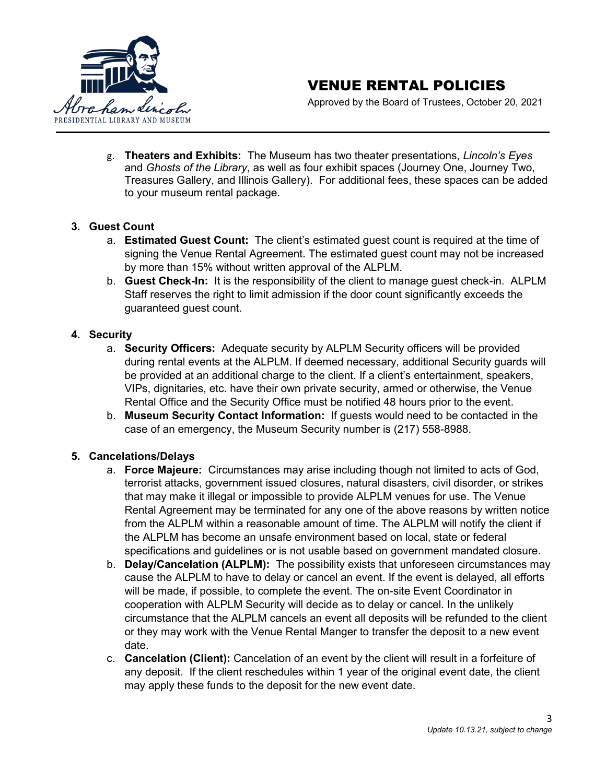

Approved by the Board of Trustees, October 20, 2021

g. **Theaters and Exhibits:** The Museum has two theater presentations, *Lincoln's Eyes*  and *Ghosts of the Library*, as well as four exhibit spaces (Journey One, Journey Two, Treasures Gallery, and Illinois Gallery). For additional fees, these spaces can be added to your museum rental package.

#### **3. Guest Count**

- a. **Estimated Guest Count:** The client's estimated guest count is required at the time of signing the Venue Rental Agreement. The estimated guest count may not be increased by more than 15% without written approval of the ALPLM.
- b. **Guest Check-In:** It is the responsibility of the client to manage guest check-in. ALPLM Staff reserves the right to limit admission if the door count significantly exceeds the guaranteed guest count.

## **4. Security**

- a. **Security Officers:** Adequate security by ALPLM Security officers will be provided during rental events at the ALPLM. If deemed necessary, additional Security guards will be provided at an additional charge to the client. If a client's entertainment, speakers, VIPs, dignitaries, etc. have their own private security, armed or otherwise, the Venue Rental Office and the Security Office must be notified 48 hours prior to the event.
- b. **Museum Security Contact Information:** If guests would need to be contacted in the case of an emergency, the Museum Security number is (217) 558-8988.

## **5. Cancelations/Delays**

- a. **Force Majeure:** Circumstances may arise including though not limited to acts of God, terrorist attacks, government issued closures, natural disasters, civil disorder, or strikes that may make it illegal or impossible to provide ALPLM venues for use. The Venue Rental Agreement may be terminated for any one of the above reasons by written notice from the ALPLM within a reasonable amount of time. The ALPLM will notify the client if the ALPLM has become an unsafe environment based on local, state or federal specifications and guidelines or is not usable based on government mandated closure.
- b. **Delay/Cancelation (ALPLM):** The possibility exists that unforeseen circumstances may cause the ALPLM to have to delay or cancel an event. If the event is delayed, all efforts will be made, if possible, to complete the event. The on-site Event Coordinator in cooperation with ALPLM Security will decide as to delay or cancel. In the unlikely circumstance that the ALPLM cancels an event all deposits will be refunded to the client or they may work with the Venue Rental Manger to transfer the deposit to a new event date.
- c. **Cancelation (Client):** Cancelation of an event by the client will result in a forfeiture of any deposit. If the client reschedules within 1 year of the original event date, the client may apply these funds to the deposit for the new event date.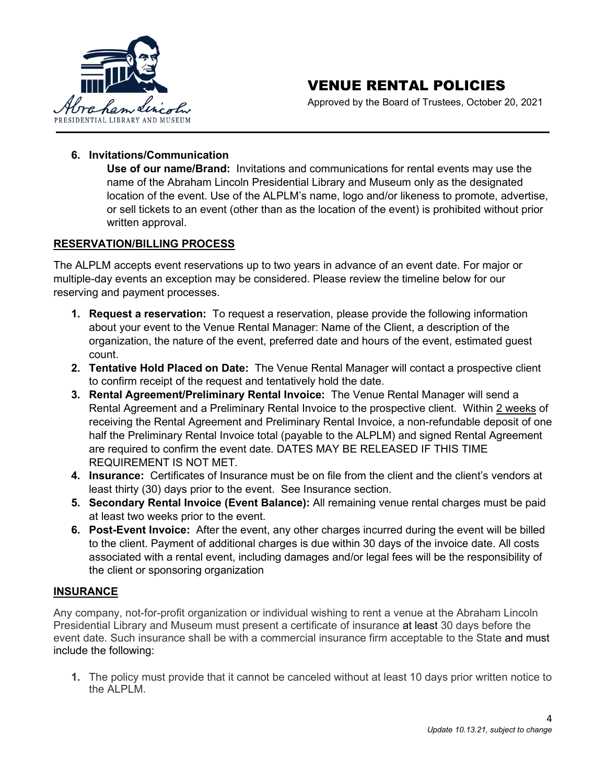

Approved by the Board of Trustees, October 20, 2021

#### **6. Invitations/Communication**

**Use of our name/Brand:** Invitations and communications for rental events may use the name of the Abraham Lincoln Presidential Library and Museum only as the designated location of the event. Use of the ALPLM's name, logo and/or likeness to promote, advertise, or sell tickets to an event (other than as the location of the event) is prohibited without prior written approval.

#### **RESERVATION/BILLING PROCESS**

The ALPLM accepts event reservations up to two years in advance of an event date. For major or multiple-day events an exception may be considered. Please review the timeline below for our reserving and payment processes.

- **1. Request a reservation:** To request a reservation, please provide the following information about your event to the Venue Rental Manager: Name of the Client, a description of the organization, the nature of the event, preferred date and hours of the event, estimated guest count.
- **2. Tentative Hold Placed on Date:** The Venue Rental Manager will contact a prospective client to confirm receipt of the request and tentatively hold the date.
- **3. Rental Agreement/Preliminary Rental Invoice:** The Venue Rental Manager will send a Rental Agreement and a Preliminary Rental Invoice to the prospective client. Within 2 weeks of receiving the Rental Agreement and Preliminary Rental Invoice, a non-refundable deposit of one half the Preliminary Rental Invoice total (payable to the ALPLM) and signed Rental Agreement are required to confirm the event date. DATES MAY BE RELEASED IF THIS TIME REQUIREMENT IS NOT MET.
- **4. Insurance:** Certificates of Insurance must be on file from the client and the client's vendors at least thirty (30) days prior to the event. See Insurance section.
- **5. Secondary Rental Invoice (Event Balance):** All remaining venue rental charges must be paid at least two weeks prior to the event.
- **6. Post-Event Invoice:** After the event, any other charges incurred during the event will be billed to the client. Payment of additional charges is due within 30 days of the invoice date. All costs associated with a rental event, including damages and/or legal fees will be the responsibility of the client or sponsoring organization

## **INSURANCE**

Any company, not-for-profit organization or individual wishing to rent a venue at the Abraham Lincoln Presidential Library and Museum must present a certificate of insurance at least 30 days before the event date. Such insurance shall be with a commercial insurance firm acceptable to the State and must include the following:

**1.** The policy must provide that it cannot be canceled without at least 10 days prior written notice to the ALPLM.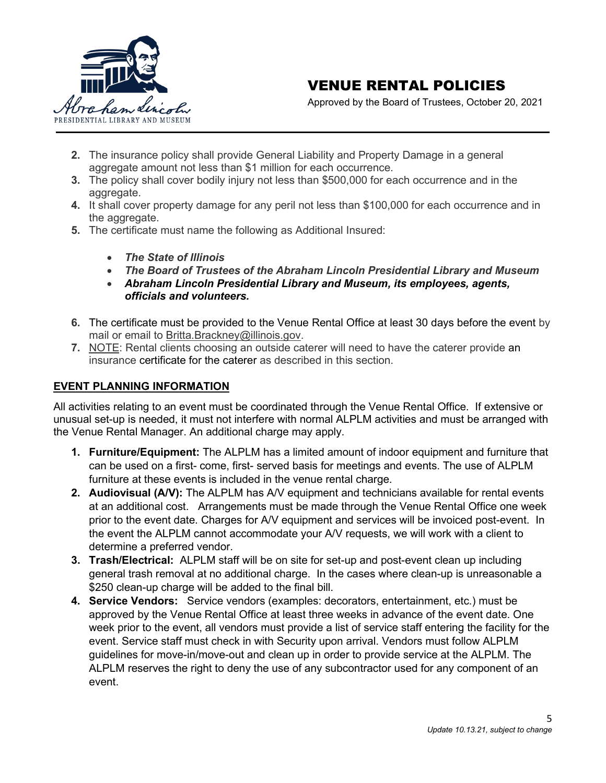

Approved by the Board of Trustees, October 20, 2021

- **2.** The insurance policy shall provide General Liability and Property Damage in a general aggregate amount not less than \$1 million for each occurrence.
- **3.** The policy shall cover bodily injury not less than \$500,000 for each occurrence and in the aggregate.
- **4.** It shall cover property damage for any peril not less than \$100,000 for each occurrence and in the aggregate.
- **5.** The certificate must name the following as Additional Insured:
	- *The State of Illinois*
	- *The Board of Trustees of the Abraham Lincoln Presidential Library and Museum*
	- *Abraham Lincoln Presidential Library and Museum, its employees, agents, officials and volunteers.*
- **6.** The certificate must be provided to the Venue Rental Office at least 30 days before the event by mail or email to [Britta.Brackney@illinois.gov.](mailto:Britta.Brackney@illinois.gov)
- **7.** NOTE: Rental clients choosing an outside caterer will need to have the caterer provide an insurance certificate for the caterer as described in this section.

#### **EVENT PLANNING INFORMATION**

All activities relating to an event must be coordinated through the Venue Rental Office. If extensive or unusual set-up is needed, it must not interfere with normal ALPLM activities and must be arranged with the Venue Rental Manager. An additional charge may apply.

- **1. Furniture/Equipment:** The ALPLM has a limited amount of indoor equipment and furniture that can be used on a first- come, first- served basis for meetings and events. The use of ALPLM furniture at these events is included in the venue rental charge.
- **2. Audiovisual (A/V):** The ALPLM has A/V equipment and technicians available for rental events at an additional cost. Arrangements must be made through the Venue Rental Office one week prior to the event date. Charges for A/V equipment and services will be invoiced post-event. In the event the ALPLM cannot accommodate your A/V requests, we will work with a client to determine a preferred vendor.
- **3. Trash/Electrical:** ALPLM staff will be on site for set-up and post-event clean up including general trash removal at no additional charge. In the cases where clean-up is unreasonable a \$250 clean-up charge will be added to the final bill.
- **4. Service Vendors:** Service vendors (examples: decorators, entertainment, etc.) must be approved by the Venue Rental Office at least three weeks in advance of the event date. One week prior to the event, all vendors must provide a list of service staff entering the facility for the event. Service staff must check in with Security upon arrival. Vendors must follow ALPLM guidelines for move-in/move-out and clean up in order to provide service at the ALPLM. The ALPLM reserves the right to deny the use of any subcontractor used for any component of an event.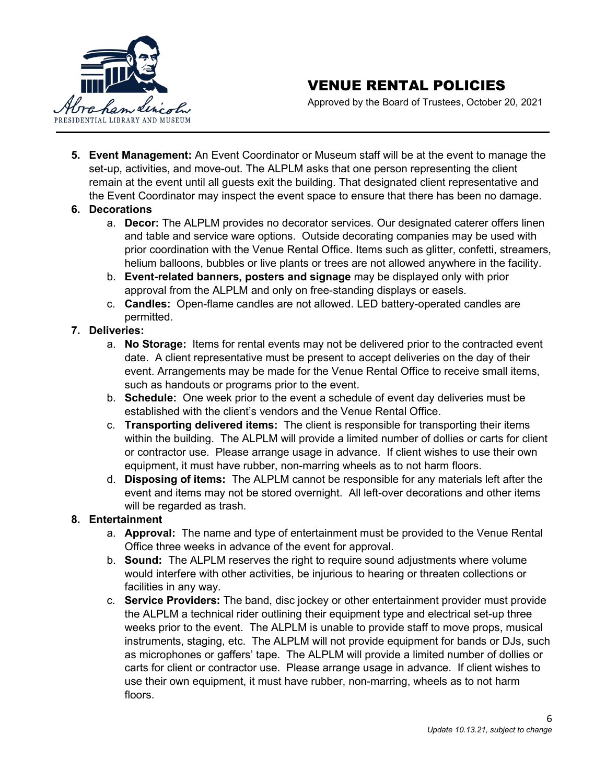

Approved by the Board of Trustees, October 20, 2021

**5. Event Management:** An Event Coordinator or Museum staff will be at the event to manage the set-up, activities, and move-out. The ALPLM asks that one person representing the client remain at the event until all guests exit the building. That designated client representative and the Event Coordinator may inspect the event space to ensure that there has been no damage.

#### **6. Decorations**

- a. **Decor:** The ALPLM provides no decorator services. Our designated caterer offers linen and table and service ware options. Outside decorating companies may be used with prior coordination with the Venue Rental Office. Items such as glitter, confetti, streamers, helium balloons, bubbles or live plants or trees are not allowed anywhere in the facility.
- b. **Event-related banners, posters and signage** may be displayed only with prior approval from the ALPLM and only on free-standing displays or easels.
- c. **Candles:** Open-flame candles are not allowed. LED battery-operated candles are permitted.

## **7. Deliveries:**

- a. **No Storage:** Items for rental events may not be delivered prior to the contracted event date. A client representative must be present to accept deliveries on the day of their event. Arrangements may be made for the Venue Rental Office to receive small items, such as handouts or programs prior to the event.
- b. **Schedule:** One week prior to the event a schedule of event day deliveries must be established with the client's vendors and the Venue Rental Office.
- c. **Transporting delivered items:** The client is responsible for transporting their items within the building. The ALPLM will provide a limited number of dollies or carts for client or contractor use. Please arrange usage in advance. If client wishes to use their own equipment, it must have rubber, non-marring wheels as to not harm floors.
- d. **Disposing of items:** The ALPLM cannot be responsible for any materials left after the event and items may not be stored overnight. All left-over decorations and other items will be regarded as trash.

## **8. Entertainment**

- a. **Approval:** The name and type of entertainment must be provided to the Venue Rental Office three weeks in advance of the event for approval.
- b. **Sound:** The ALPLM reserves the right to require sound adjustments where volume would interfere with other activities, be injurious to hearing or threaten collections or facilities in any way.
- c. **Service Providers:** The band, disc jockey or other entertainment provider must provide the ALPLM a technical rider outlining their equipment type and electrical set-up three weeks prior to the event. The ALPLM is unable to provide staff to move props, musical instruments, staging, etc. The ALPLM will not provide equipment for bands or DJs, such as microphones or gaffers' tape. The ALPLM will provide a limited number of dollies or carts for client or contractor use. Please arrange usage in advance. If client wishes to use their own equipment, it must have rubber, non-marring, wheels as to not harm floors.